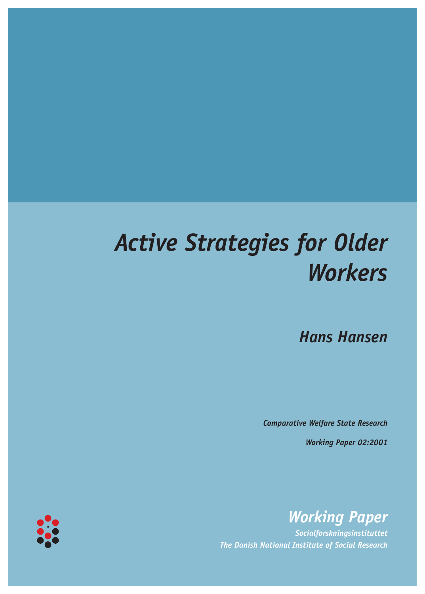# *Active Strategies for Older Workers*

*Hans Hansen*

*Comparative Welfare State Research*

*Working Paper 02:2001*



*Socialforskningsinstituttet The Danish National Institute of Social Research*

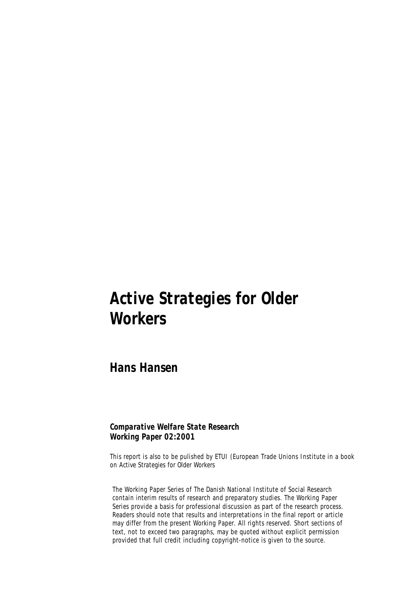## *Active Strategies for Older Workers*

*Hans Hansen* 

#### *Comparative Welfare State Research Working Paper 02:2001*

This report is also to be pulished by ETUI (European Trade Unions Institute in a book on *Active Strategies for Older Workers* 

The Working Paper Series of The Danish National Institute of Social Research contain interim results of research and preparatory studies. The Working Paper Series provide a basis for professional discussion as part of the research process. Readers should note that results and interpretations in the final report or article may differ from the present Working Paper. All rights reserved. Short sections of text, not to exceed two paragraphs, may be quoted without explicit permission provided that full credit including copyright-notice is given to the source.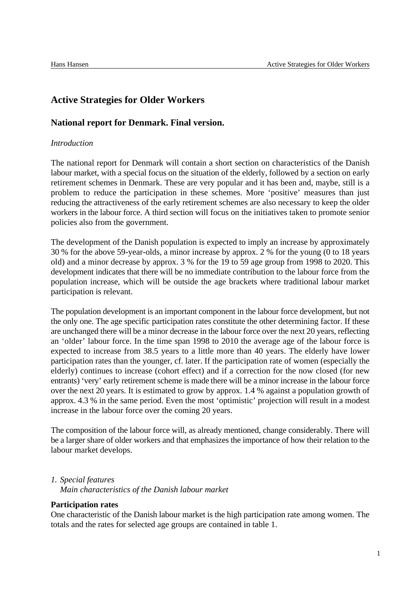### **Active Strategies for Older Workers**

#### **National report for Denmark. Final version.**

#### *Introduction*

The national report for Denmark will contain a short section on characteristics of the Danish labour market, with a special focus on the situation of the elderly, followed by a section on early retirement schemes in Denmark. These are very popular and it has been and, maybe, still is a problem to reduce the participation in these schemes. More 'positive' measures than just reducing the attractiveness of the early retirement schemes are also necessary to keep the older workers in the labour force. A third section will focus on the initiatives taken to promote senior policies also from the government.

The development of the Danish population is expected to imply an increase by approximately 30 % for the above 59-year-olds, a minor increase by approx. 2 % for the young (0 to 18 years old) and a minor decrease by approx. 3 % for the 19 to 59 age group from 1998 to 2020. This development indicates that there will be no immediate contribution to the labour force from the population increase, which will be outside the age brackets where traditional labour market participation is relevant.

The population development is an important component in the labour force development, but not the only one. The age specific participation rates constitute the other determining factor. If these are unchanged there will be a minor decrease in the labour force over the next 20 years, reflecting an 'older' labour force. In the time span 1998 to 2010 the average age of the labour force is expected to increase from 38.5 years to a little more than 40 years. The elderly have lower participation rates than the younger, cf. later. If the participation rate of women (especially the elderly) continues to increase (cohort effect) and if a correction for the now closed (for new entrants) 'very' early retirement scheme is made there will be a minor increase in the labour force over the next 20 years. It is estimated to grow by approx. 1.4 % against a population growth of approx. 4.3 % in the same period. Even the most 'optimistic' projection will result in a modest increase in the labour force over the coming 20 years.

The composition of the labour force will, as already mentioned, change considerably. There will be a larger share of older workers and that emphasizes the importance of how their relation to the labour market develops.

#### *1. Special features*

*Main characteristics of the Danish labour market*

#### **Participation rates**

One characteristic of the Danish labour market is the high participation rate among women. The totals and the rates for selected age groups are contained in table 1.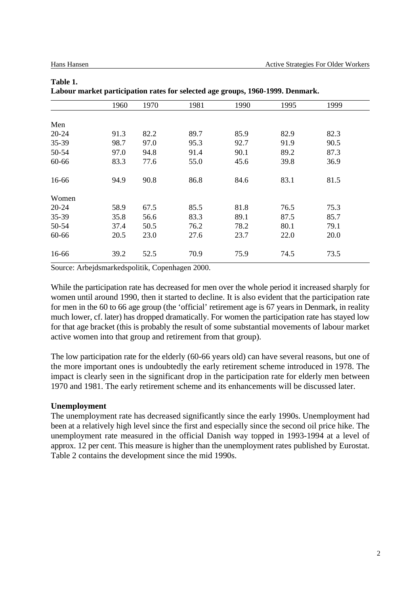|           |      |      |      | Labour market participation rates for selected age groups, 1700-1777. Denmark. |      |      |  |
|-----------|------|------|------|--------------------------------------------------------------------------------|------|------|--|
|           | 1960 | 1970 | 1981 | 1990                                                                           | 1995 | 1999 |  |
| Men       |      |      |      |                                                                                |      |      |  |
| $20 - 24$ | 91.3 | 82.2 | 89.7 | 85.9                                                                           | 82.9 | 82.3 |  |
| 35-39     | 98.7 | 97.0 | 95.3 | 92.7                                                                           | 91.9 | 90.5 |  |
| 50-54     | 97.0 | 94.8 | 91.4 | 90.1                                                                           | 89.2 | 87.3 |  |
| 60-66     | 83.3 | 77.6 | 55.0 | 45.6                                                                           | 39.8 | 36.9 |  |
| 16-66     | 94.9 | 90.8 | 86.8 | 84.6                                                                           | 83.1 | 81.5 |  |
| Women     |      |      |      |                                                                                |      |      |  |
| $20 - 24$ | 58.9 | 67.5 | 85.5 | 81.8                                                                           | 76.5 | 75.3 |  |
| 35-39     | 35.8 | 56.6 | 83.3 | 89.1                                                                           | 87.5 | 85.7 |  |
| 50-54     | 37.4 | 50.5 | 76.2 | 78.2                                                                           | 80.1 | 79.1 |  |
| 60-66     | 20.5 | 23.0 | 27.6 | 23.7                                                                           | 22.0 | 20.0 |  |
| 16-66     | 39.2 | 52.5 | 70.9 | 75.9                                                                           | 74.5 | 73.5 |  |

#### **Table 1. Labour market participation rates for selected age groups, 1960-1999. Denmark.**

Source: Arbejdsmarkedspolitik, Copenhagen 2000.

While the participation rate has decreased for men over the whole period it increased sharply for women until around 1990, then it started to decline. It is also evident that the participation rate for men in the 60 to 66 age group (the 'official' retirement age is 67 years in Denmark, in reality much lower, cf. later) has dropped dramatically. For women the participation rate has stayed low for that age bracket (this is probably the result of some substantial movements of labour market active women into that group and retirement from that group).

The low participation rate for the elderly (60-66 years old) can have several reasons, but one of the more important ones is undoubtedly the early retirement scheme introduced in 1978. The impact is clearly seen in the significant drop in the participation rate for elderly men between 1970 and 1981. The early retirement scheme and its enhancements will be discussed later.

#### **Unemployment**

The unemployment rate has decreased significantly since the early 1990s. Unemployment had been at a relatively high level since the first and especially since the second oil price hike. The unemployment rate measured in the official Danish way topped in 1993-1994 at a level of approx. 12 per cent. This measure is higher than the unemployment rates published by Eurostat. Table 2 contains the development since the mid 1990s.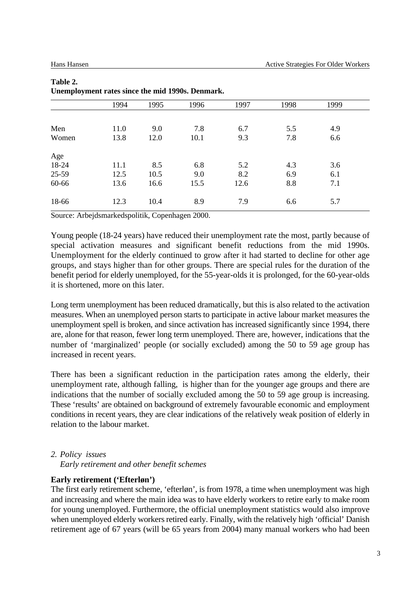|       | 1994 | 1995 | 1996 | 1997 | 1998 | 1999 |  |
|-------|------|------|------|------|------|------|--|
|       |      |      |      |      |      |      |  |
| Men   | 11.0 | 9.0  | 7.8  | 6.7  | 5.5  | 4.9  |  |
| Women | 13.8 | 12.0 | 10.1 | 9.3  | 7.8  | 6.6  |  |
| Age   |      |      |      |      |      |      |  |
| 18-24 | 11.1 | 8.5  | 6.8  | 5.2  | 4.3  | 3.6  |  |
| 25-59 | 12.5 | 10.5 | 9.0  | 8.2  | 6.9  | 6.1  |  |
| 60-66 | 13.6 | 16.6 | 15.5 | 12.6 | 8.8  | 7.1  |  |
| 18-66 | 12.3 | 10.4 | 8.9  | 7.9  | 6.6  | 5.7  |  |
|       |      |      |      |      |      |      |  |

#### **Table 2. Unemployment rates since the mid 1990s. Denmark.**

Source: Arbejdsmarkedspolitik, Copenhagen 2000.

Young people (18-24 years) have reduced their unemployment rate the most, partly because of special activation measures and significant benefit reductions from the mid 1990s. Unemployment for the elderly continued to grow after it had started to decline for other age groups, and stays higher than for other groups. There are special rules for the duration of the benefit period for elderly unemployed, for the 55-year-olds it is prolonged, for the 60-year-olds it is shortened, more on this later.

Long term unemployment has been reduced dramatically, but this is also related to the activation measures. When an unemployed person starts to participate in active labour market measures the unemployment spell is broken, and since activation has increased significantly since 1994, there are, alone for that reason, fewer long term unemployed. There are, however, indications that the number of 'marginalized' people (or socially excluded) among the 50 to 59 age group has increased in recent years.

There has been a significant reduction in the participation rates among the elderly, their unemployment rate, although falling, is higher than for the younger age groups and there are indications that the number of socially excluded among the 50 to 59 age group is increasing. These 'results' are obtained on background of extremely favourable economic and employment conditions in recent years, they are clear indications of the relatively weak position of elderly in relation to the labour market.

#### *2. Policy issues*

*Early retirement and other benefit schemes*

#### **Early retirement ('Efterløn')**

The first early retirement scheme, 'efterløn', is from 1978, a time when unemployment was high and increasing and where the main idea was to have elderly workers to retire early to make room for young unemployed. Furthermore, the official unemployment statistics would also improve when unemployed elderly workers retired early. Finally, with the relatively high 'official' Danish retirement age of 67 years (will be 65 years from 2004) many manual workers who had been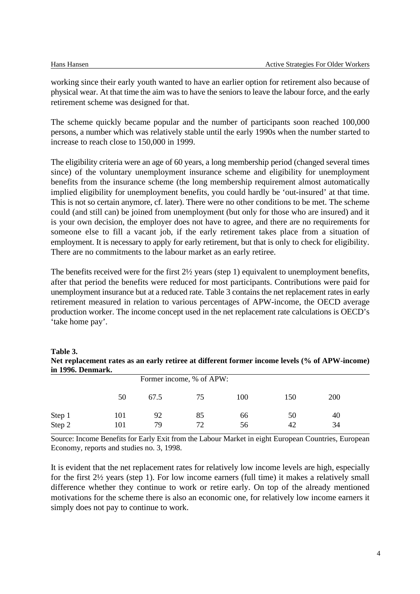working since their early youth wanted to have an earlier option for retirement also because of physical wear. At that time the aim was to have the seniors to leave the labour force, and the early retirement scheme was designed for that.

The scheme quickly became popular and the number of participants soon reached 100,000 persons, a number which was relatively stable until the early 1990s when the number started to increase to reach close to 150,000 in 1999.

The eligibility criteria were an age of 60 years, a long membership period (changed several times since) of the voluntary unemployment insurance scheme and eligibility for unemployment benefits from the insurance scheme (the long membership requirement almost automatically implied eligibility for unemployment benefits, you could hardly be 'out-insured' at that time. This is not so certain anymore, cf. later). There were no other conditions to be met. The scheme could (and still can) be joined from unemployment (but only for those who are insured) and it is your own decision, the employer does not have to agree, and there are no requirements for someone else to fill a vacant job, if the early retirement takes place from a situation of employment. It is necessary to apply for early retirement, but that is only to check for eligibility. There are no commitments to the labour market as an early retiree.

The benefits received were for the first 2½ years (step 1) equivalent to unemployment benefits, after that period the benefits were reduced for most participants. Contributions were paid for unemployment insurance but at a reduced rate. Table 3 contains the net replacement rates in early retirement measured in relation to various percentages of APW-income, the OECD average production worker. The income concept used in the net replacement rate calculations is OECD's 'take home pay'.

#### **Table 3. Net replacement rates as an early retiree at different former income levels (% of APW-income) in 1996. Denmark.**

| III 1770. DUMIIIAI N. |     |      |                          |     |     |            |  |
|-----------------------|-----|------|--------------------------|-----|-----|------------|--|
|                       |     |      | Former income, % of APW: |     |     |            |  |
|                       | 50  | 67.5 | 75                       | 100 | 150 | <b>200</b> |  |
| Step 1                | 101 | 92   | 85                       | 66  | 50  | 40         |  |
| Step 2                | 101 | 79   | 72                       | 56  | 42  | 34         |  |

Source: Income Benefits for Early Exit from the Labour Market in eight European Countries, European Economy, reports and studies no. 3, 1998.

It is evident that the net replacement rates for relatively low income levels are high, especially for the first 2½ years (step 1). For low income earners (full time) it makes a relatively small difference whether they continue to work or retire early. On top of the already mentioned motivations for the scheme there is also an economic one, for relatively low income earners it simply does not pay to continue to work.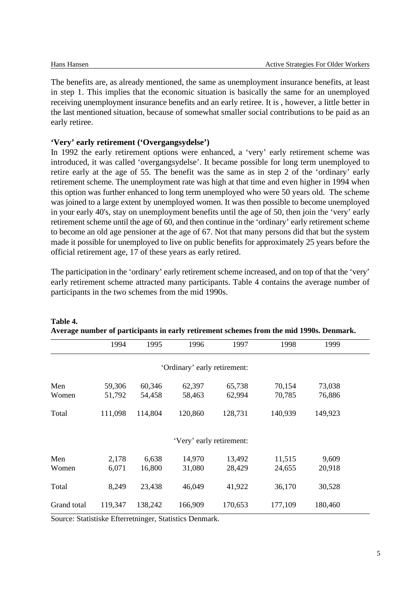The benefits are, as already mentioned, the same as unemployment insurance benefits, at least in step 1. This implies that the economic situation is basically the same for an unemployed receiving unemployment insurance benefits and an early retiree. It is , however, a little better in the last mentioned situation, because of somewhat smaller social contributions to be paid as an early retiree.

#### **'Very' early retirement ('Overgangsydelse')**

In 1992 the early retirement options were enhanced, a 'very' early retirement scheme was introduced, it was called 'overgangsydelse'. It became possible for long term unemployed to retire early at the age of 55. The benefit was the same as in step 2 of the 'ordinary' early retirement scheme. The unemployment rate was high at that time and even higher in 1994 when this option was further enhanced to long term unemployed who were 50 years old. The scheme was joined to a large extent by unemployed women. It was then possible to become unemployed in your early 40's, stay on unemployment benefits until the age of 50, then join the 'very' early retirement scheme until the age of 60, and then continue in the 'ordinary' early retirement scheme to become an old age pensioner at the age of 67. Not that many persons did that but the system made it possible for unemployed to live on public benefits for approximately 25 years before the official retirement age, 17 of these years as early retired.

The participation in the 'ordinary' early retirement scheme increased, and on top of that the 'very' early retirement scheme attracted many participants. Table 4 contains the average number of participants in the two schemes from the mid 1990s.

|              | 1994             | 1995             | 1996                         | 1997             | 1998             | 1999             |  |
|--------------|------------------|------------------|------------------------------|------------------|------------------|------------------|--|
|              |                  |                  | 'Ordinary' early retirement: |                  |                  |                  |  |
| Men<br>Women | 59,306<br>51,792 | 60,346<br>54,458 | 62,397<br>58,463             | 65,738<br>62,994 | 70,154<br>70,785 | 73,038<br>76,886 |  |
| Total        | 111,098          | 114,804          | 120,860                      | 128,731          | 140,939          | 149,923          |  |
|              |                  |                  | 'Very' early retirement:     |                  |                  |                  |  |
| Men<br>Women | 2,178<br>6,071   | 6,638<br>16,800  | 14,970<br>31,080             | 13,492<br>28,429 | 11,515<br>24,655 | 9,609<br>20,918  |  |
| Total        | 8,249            | 23,438           | 46,049                       | 41,922           | 36,170           | 30,528           |  |
| Grand total  | 119,347          | 138,242          | 166,909                      | 170,653          | 177,109          | 180,460          |  |

**Table 4. Average number of participants in early retirement schemes from the mid 1990s. Denmark.**

Source: Statistiske Efterretninger, Statistics Denmark.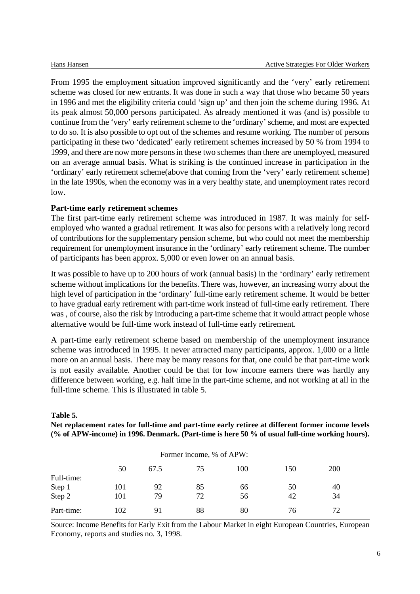From 1995 the employment situation improved significantly and the 'very' early retirement scheme was closed for new entrants. It was done in such a way that those who became 50 years in 1996 and met the eligibility criteria could 'sign up' and then join the scheme during 1996. At its peak almost 50,000 persons participated. As already mentioned it was (and is) possible to continue from the 'very' early retirement scheme to the 'ordinary' scheme, and most are expected to do so. It is also possible to opt out of the schemes and resume working. The number of persons participating in these two 'dedicated' early retirement schemes increased by 50 % from 1994 to 1999, and there are now more persons in these two schemes than there are unemployed, measured on an average annual basis. What is striking is the continued increase in participation in the 'ordinary' early retirement scheme(above that coming from the 'very' early retirement scheme) in the late 1990s, when the economy was in a very healthy state, and unemployment rates record low.

#### **Part-time early retirement schemes**

The first part-time early retirement scheme was introduced in 1987. It was mainly for selfemployed who wanted a gradual retirement. It was also for persons with a relatively long record of contributions for the supplementary pension scheme, but who could not meet the membership requirement for unemployment insurance in the 'ordinary' early retirement scheme. The number of participants has been approx. 5,000 or even lower on an annual basis.

It was possible to have up to 200 hours of work (annual basis) in the 'ordinary' early retirement scheme without implications for the benefits. There was, however, an increasing worry about the high level of participation in the 'ordinary' full-time early retirement scheme. It would be better to have gradual early retirement with part-time work instead of full-time early retirement. There was , of course, also the risk by introducing a part-time scheme that it would attract people whose alternative would be full-time work instead of full-time early retirement.

A part-time early retirement scheme based on membership of the unemployment insurance scheme was introduced in 1995. It never attracted many participants, approx. 1,000 or a little more on an annual basis. There may be many reasons for that, one could be that part-time work is not easily available. Another could be that for low income earners there was hardly any difference between working, e.g. half time in the part-time scheme, and not working at all in the full-time scheme. This is illustrated in table 5.

#### **Table 5. Net replacement rates for full-time and part-time early retiree at different former income levels (% of APW-income) in 1996. Denmark. (Part-time is here 50 % of usual full-time working hours).**

|            |     |      | Former income, % of APW: |     |     |            |  |
|------------|-----|------|--------------------------|-----|-----|------------|--|
|            |     |      |                          |     |     |            |  |
|            | 50  | 67.5 | 75                       | 100 | 150 | <b>200</b> |  |
| Full-time: |     |      |                          |     |     |            |  |
| Step 1     | 101 | 92   | 85                       | 66  | 50  | 40         |  |
| Step 2     | 101 | 79   | 72                       | 56  | 42  | 34         |  |
| Part-time: | 102 | 91   | 88                       | 80  | 76  | 72         |  |

Source: Income Benefits for Early Exit from the Labour Market in eight European Countries, European Economy, reports and studies no. 3, 1998.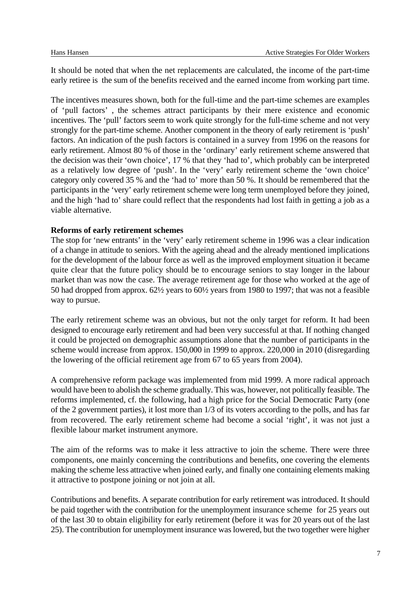It should be noted that when the net replacements are calculated, the income of the part-time early retiree is the sum of the benefits received and the earned income from working part time.

The incentives measures shown, both for the full-time and the part-time schemes are examples of 'pull factors' , the schemes attract participants by their mere existence and economic incentives. The 'pull' factors seem to work quite strongly for the full-time scheme and not very strongly for the part-time scheme. Another component in the theory of early retirement is 'push' factors. An indication of the push factors is contained in a survey from 1996 on the reasons for early retirement. Almost 80 % of those in the 'ordinary' early retirement scheme answered that the decision was their 'own choice', 17 % that they 'had to', which probably can be interpreted as a relatively low degree of 'push'. In the 'very' early retirement scheme the 'own choice' category only covered 35 % and the 'had to' more than 50 %. It should be remembered that the participants in the 'very' early retirement scheme were long term unemployed before they joined, and the high 'had to' share could reflect that the respondents had lost faith in getting a job as a viable alternative.

#### **Reforms of early retirement schemes**

The stop for 'new entrants' in the 'very' early retirement scheme in 1996 was a clear indication of a change in attitude to seniors. With the ageing ahead and the already mentioned implications for the development of the labour force as well as the improved employment situation it became quite clear that the future policy should be to encourage seniors to stay longer in the labour market than was now the case. The average retirement age for those who worked at the age of 50 had dropped from approx. 62½ years to 60½ years from 1980 to 1997; that was not a feasible way to pursue.

The early retirement scheme was an obvious, but not the only target for reform. It had been designed to encourage early retirement and had been very successful at that. If nothing changed it could be projected on demographic assumptions alone that the number of participants in the scheme would increase from approx. 150,000 in 1999 to approx. 220,000 in 2010 (disregarding the lowering of the official retirement age from 67 to 65 years from 2004).

A comprehensive reform package was implemented from mid 1999. A more radical approach would have been to abolish the scheme gradually. This was, however, not politically feasible. The reforms implemented, cf. the following, had a high price for the Social Democratic Party (one of the 2 government parties), it lost more than 1/3 of its voters according to the polls, and has far from recovered. The early retirement scheme had become a social 'right', it was not just a flexible labour market instrument anymore.

The aim of the reforms was to make it less attractive to join the scheme. There were three components, one mainly concerning the contributions and benefits, one covering the elements making the scheme less attractive when joined early, and finally one containing elements making it attractive to postpone joining or not join at all.

Contributions and benefits. A separate contribution for early retirement was introduced. It should be paid together with the contribution for the unemployment insurance scheme for 25 years out of the last 30 to obtain eligibility for early retirement (before it was for 20 years out of the last 25). The contribution for unemployment insurance was lowered, but the two together were higher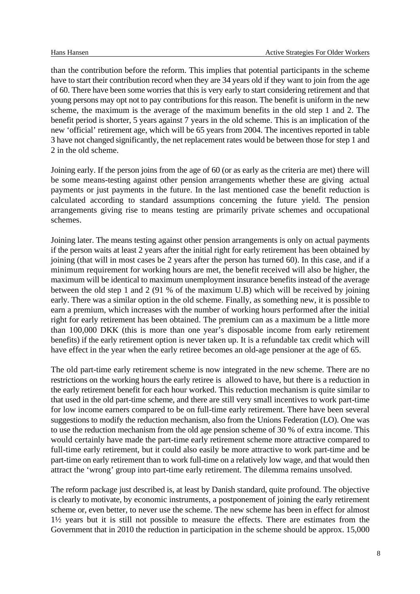than the contribution before the reform. This implies that potential participants in the scheme have to start their contribution record when they are 34 years old if they want to join from the age of 60. There have been some worries that this is very early to start considering retirement and that young persons may opt not to pay contributions for this reason. The benefit is uniform in the new scheme, the maximum is the average of the maximum benefits in the old step 1 and 2. The benefit period is shorter, 5 years against 7 years in the old scheme. This is an implication of the new 'official' retirement age, which will be 65 years from 2004. The incentives reported in table 3 have not changed significantly, the net replacement rates would be between those for step 1 and 2 in the old scheme.

Joining early. If the person joins from the age of 60 (or as early as the criteria are met) there will be some means-testing against other pension arrangements whether these are giving actual payments or just payments in the future. In the last mentioned case the benefit reduction is calculated according to standard assumptions concerning the future yield. The pension arrangements giving rise to means testing are primarily private schemes and occupational schemes.

Joining later. The means testing against other pension arrangements is only on actual payments if the person waits at least 2 years after the initial right for early retirement has been obtained by joining (that will in most cases be 2 years after the person has turned 60). In this case, and if a minimum requirement for working hours are met, the benefit received will also be higher, the maximum will be identical to maximum unemployment insurance benefits instead of the average between the old step 1 and 2 (91 % of the maximum U.B) which will be received by joining early. There was a similar option in the old scheme. Finally, as something new, it is possible to earn a premium, which increases with the number of working hours performed after the initial right for early retirement has been obtained. The premium can as a maximum be a little more than 100,000 DKK (this is more than one year's disposable income from early retirement benefits) if the early retirement option is never taken up. It is a refundable tax credit which will have effect in the year when the early retiree becomes an old-age pensioner at the age of 65.

The old part-time early retirement scheme is now integrated in the new scheme. There are no restrictions on the working hours the early retiree is allowed to have, but there is a reduction in the early retirement benefit for each hour worked. This reduction mechanism is quite similar to that used in the old part-time scheme, and there are still very small incentives to work part-time for low income earners compared to be on full-time early retirement. There have been several suggestions to modify the reduction mechanism, also from the Unions Federation (LO). One was to use the reduction mechanism from the old age pension scheme of 30 % of extra income. This would certainly have made the part-time early retirement scheme more attractive compared to full-time early retirement, but it could also easily be more attractive to work part-time and be part-time on early retirement than to work full-time on a relatively low wage, and that would then attract the 'wrong' group into part-time early retirement. The dilemma remains unsolved.

The reform package just described is, at least by Danish standard, quite profound. The objective is clearly to motivate, by economic instruments, a postponement of joining the early retirement scheme or, even better, to never use the scheme. The new scheme has been in effect for almost 1½ years but it is still not possible to measure the effects. There are estimates from the Government that in 2010 the reduction in participation in the scheme should be approx. 15,000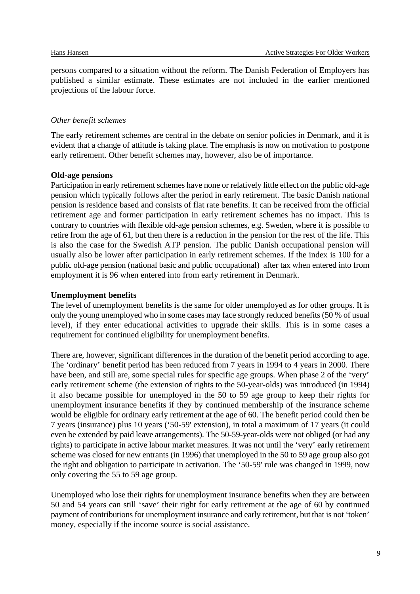persons compared to a situation without the reform. The Danish Federation of Employers has published a similar estimate. These estimates are not included in the earlier mentioned projections of the labour force.

#### *Other benefit schemes*

The early retirement schemes are central in the debate on senior policies in Denmark, and it is evident that a change of attitude is taking place. The emphasis is now on motivation to postpone early retirement. Other benefit schemes may, however, also be of importance.

#### **Old-age pensions**

Participation in early retirement schemes have none or relatively little effect on the public old-age pension which typically follows after the period in early retirement. The basic Danish national pension is residence based and consists of flat rate benefits. It can be received from the official retirement age and former participation in early retirement schemes has no impact. This is contrary to countries with flexible old-age pension schemes, e.g. Sweden, where it is possible to retire from the age of 61, but then there is a reduction in the pension for the rest of the life. This is also the case for the Swedish ATP pension. The public Danish occupational pension will usually also be lower after participation in early retirement schemes. If the index is 100 for a public old-age pension (national basic and public occupational) after tax when entered into from employment it is 96 when entered into from early retirement in Denmark.

#### **Unemployment benefits**

The level of unemployment benefits is the same for older unemployed as for other groups. It is only the young unemployed who in some cases may face strongly reduced benefits (50 % of usual level), if they enter educational activities to upgrade their skills. This is in some cases a requirement for continued eligibility for unemployment benefits.

There are, however, significant differences in the duration of the benefit period according to age. The 'ordinary' benefit period has been reduced from 7 years in 1994 to 4 years in 2000. There have been, and still are, some special rules for specific age groups. When phase 2 of the 'very' early retirement scheme (the extension of rights to the 50-year-olds) was introduced (in 1994) it also became possible for unemployed in the 50 to 59 age group to keep their rights for unemployment insurance benefits if they by continued membership of the insurance scheme would be eligible for ordinary early retirement at the age of 60. The benefit period could then be 7 years (insurance) plus 10 years ('50-59' extension), in total a maximum of 17 years (it could even be extended by paid leave arrangements). The 50-59-year-olds were not obliged (or had any rights) to participate in active labour market measures. It was not until the 'very' early retirement scheme was closed for new entrants (in 1996) that unemployed in the 50 to 59 age group also got the right and obligation to participate in activation. The '50-59' rule was changed in 1999, now only covering the 55 to 59 age group.

Unemployed who lose their rights for unemployment insurance benefits when they are between 50 and 54 years can still 'save' their right for early retirement at the age of 60 by continued payment of contributions for unemployment insurance and early retirement, but that is not 'token' money, especially if the income source is social assistance.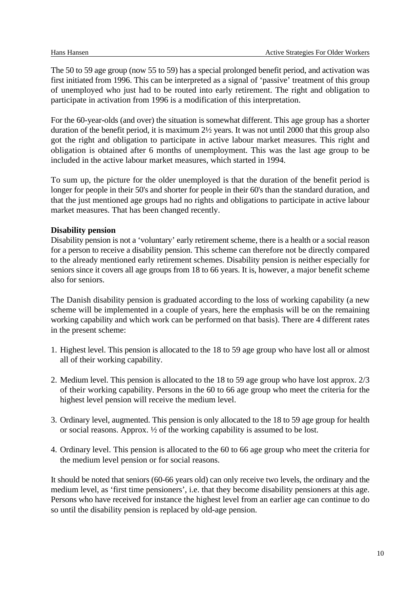The 50 to 59 age group (now 55 to 59) has a special prolonged benefit period, and activation was first initiated from 1996. This can be interpreted as a signal of 'passive' treatment of this group of unemployed who just had to be routed into early retirement. The right and obligation to participate in activation from 1996 is a modification of this interpretation.

For the 60-year-olds (and over) the situation is somewhat different. This age group has a shorter duration of the benefit period, it is maximum 2½ years. It was not until 2000 that this group also got the right and obligation to participate in active labour market measures. This right and obligation is obtained after 6 months of unemployment. This was the last age group to be included in the active labour market measures, which started in 1994.

To sum up, the picture for the older unemployed is that the duration of the benefit period is longer for people in their 50's and shorter for people in their 60's than the standard duration, and that the just mentioned age groups had no rights and obligations to participate in active labour market measures. That has been changed recently.

#### **Disability pension**

Disability pension is not a 'voluntary' early retirement scheme, there is a health or a social reason for a person to receive a disability pension. This scheme can therefore not be directly compared to the already mentioned early retirement schemes. Disability pension is neither especially for seniors since it covers all age groups from 18 to 66 years. It is, however, a major benefit scheme also for seniors.

The Danish disability pension is graduated according to the loss of working capability (a new scheme will be implemented in a couple of years, here the emphasis will be on the remaining working capability and which work can be performed on that basis). There are 4 different rates in the present scheme:

- 1. Highest level. This pension is allocated to the 18 to 59 age group who have lost all or almost all of their working capability.
- 2. Medium level. This pension is allocated to the 18 to 59 age group who have lost approx. 2/3 of their working capability. Persons in the 60 to 66 age group who meet the criteria for the highest level pension will receive the medium level.
- 3. Ordinary level, augmented. This pension is only allocated to the 18 to 59 age group for health or social reasons. Approx. ½ of the working capability is assumed to be lost.
- 4. Ordinary level. This pension is allocated to the 60 to 66 age group who meet the criteria for the medium level pension or for social reasons.

It should be noted that seniors (60-66 years old) can only receive two levels, the ordinary and the medium level, as 'first time pensioners', i.e. that they become disability pensioners at this age. Persons who have received for instance the highest level from an earlier age can continue to do so until the disability pension is replaced by old-age pension.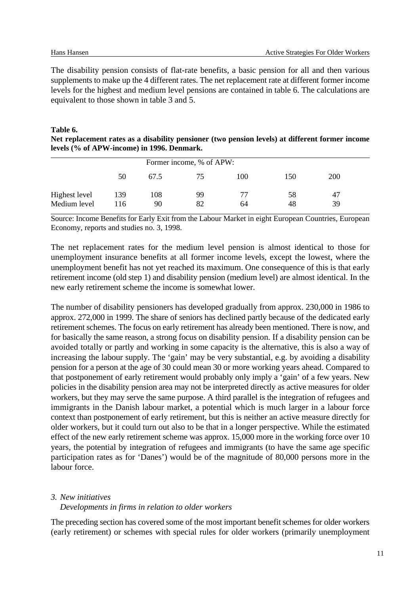The disability pension consists of flat-rate benefits, a basic pension for all and then various supplements to make up the 4 different rates. The net replacement rate at different former income levels for the highest and medium level pensions are contained in table 6. The calculations are equivalent to those shown in table 3 and 5.

#### **Table 6.**

**Net replacement rates as a disability pensioner (two pension levels) at different former income levels (% of APW-income) in 1996. Denmark.**

|               |     |      | Former income, % of APW: |     |     |     |  |
|---------------|-----|------|--------------------------|-----|-----|-----|--|
|               | 50  | 67.5 | 75                       | 100 | 150 | 200 |  |
| Highest level | 139 | 108  | 99                       | 77  | 58  | 47  |  |
| Medium level  | 116 | 90   | 82                       | 64  | 48  | 39  |  |

Source: Income Benefits for Early Exit from the Labour Market in eight European Countries, European Economy, reports and studies no. 3, 1998.

The net replacement rates for the medium level pension is almost identical to those for unemployment insurance benefits at all former income levels, except the lowest, where the unemployment benefit has not yet reached its maximum. One consequence of this is that early retirement income (old step 1) and disability pension (medium level) are almost identical. In the new early retirement scheme the income is somewhat lower.

The number of disability pensioners has developed gradually from approx. 230,000 in 1986 to approx. 272,000 in 1999. The share of seniors has declined partly because of the dedicated early retirement schemes. The focus on early retirement has already been mentioned. There is now, and for basically the same reason, a strong focus on disability pension. If a disability pension can be avoided totally or partly and working in some capacity is the alternative, this is also a way of increasing the labour supply. The 'gain' may be very substantial, e.g. by avoiding a disability pension for a person at the age of 30 could mean 30 or more working years ahead. Compared to that postponement of early retirement would probably only imply a 'gain' of a few years. New policies in the disability pension area may not be interpreted directly as active measures for older workers, but they may serve the same purpose. A third parallel is the integration of refugees and immigrants in the Danish labour market, a potential which is much larger in a labour force context than postponement of early retirement, but this is neither an active measure directly for older workers, but it could turn out also to be that in a longer perspective. While the estimated effect of the new early retirement scheme was approx. 15,000 more in the working force over 10 years, the potential by integration of refugees and immigrants (to have the same age specific participation rates as for 'Danes') would be of the magnitude of 80,000 persons more in the labour force.

#### *3. New initiatives*

#### *Developments in firms in relation to older workers*

The preceding section has covered some of the most important benefit schemes for older workers (early retirement) or schemes with special rules for older workers (primarily unemployment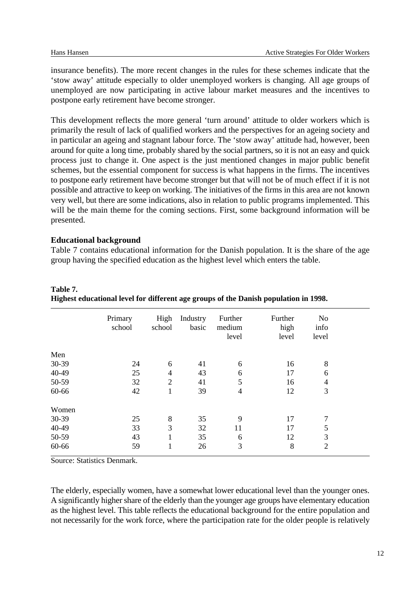insurance benefits). The more recent changes in the rules for these schemes indicate that the 'stow away' attitude especially to older unemployed workers is changing. All age groups of unemployed are now participating in active labour market measures and the incentives to postpone early retirement have become stronger.

This development reflects the more general 'turn around' attitude to older workers which is primarily the result of lack of qualified workers and the perspectives for an ageing society and in particular an ageing and stagnant labour force. The 'stow away' attitude had, however, been around for quite a long time, probably shared by the social partners, so it is not an easy and quick process just to change it. One aspect is the just mentioned changes in major public benefit schemes, but the essential component for success is what happens in the firms. The incentives to postpone early retirement have become stronger but that will not be of much effect if it is not possible and attractive to keep on working. The initiatives of the firms in this area are not known very well, but there are some indications, also in relation to public programs implemented. This will be the main theme for the coming sections. First, some background information will be presented.

#### **Educational background**

Table 7 contains educational information for the Danish population. It is the share of the age group having the specified education as the highest level which enters the table.

|       | Primary<br>school | High<br>school | Industry<br>basic | Further<br>medium<br>level | Further<br>high<br>level | No<br>info<br>level |  |
|-------|-------------------|----------------|-------------------|----------------------------|--------------------------|---------------------|--|
| Men   |                   |                |                   |                            |                          |                     |  |
| 30-39 | 24                | 6              | 41                | 6                          | 16                       | 8                   |  |
| 40-49 | 25                | $\overline{4}$ | 43                | 6                          | 17                       | 6                   |  |
| 50-59 | 32                | $\overline{2}$ | 41                | 5                          | 16                       | 4                   |  |
| 60-66 | 42                | 1              | 39                | $\overline{4}$             | 12                       | 3                   |  |
| Women |                   |                |                   |                            |                          |                     |  |
| 30-39 | 25                | 8              | 35                | 9                          | 17                       | 7                   |  |
| 40-49 | 33                | 3              | 32                | 11                         | 17                       | 5                   |  |
| 50-59 | 43                | 1              | 35                | 6                          | 12                       | 3                   |  |
| 60-66 | 59                | 1              | 26                | 3                          | 8                        | $\overline{2}$      |  |

**Table 7. Highest educational level for different age groups of the Danish population in 1998.**

Source: Statistics Denmark.

The elderly, especially women, have a somewhat lower educational level than the younger ones. A significantly higher share of the elderly than the younger age groups have elementary education as the highest level. This table reflects the educational background for the entire population and not necessarily for the work force, where the participation rate for the older people is relatively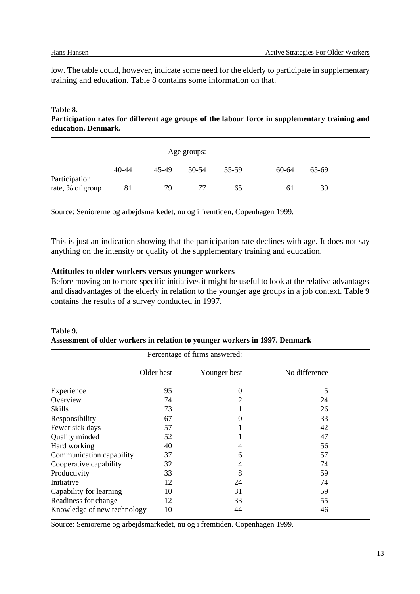low. The table could, however, indicate some need for the elderly to participate in supplementary training and education. Table 8 contains some information on that.

#### **Table 8. Participation rates for different age groups of the labour force in supplementary training and education. Denmark.**

|                                   |           |       | Age groups: |       |       |       |
|-----------------------------------|-----------|-------|-------------|-------|-------|-------|
|                                   | $40 - 44$ | 45-49 | 50-54       | 55-59 | 60-64 | 65-69 |
| Participation<br>rate, % of group | 81        | 79    | 77          | 65    | 61    | 39    |

Source: Seniorerne og arbejdsmarkedet, nu og i fremtiden, Copenhagen 1999.

This is just an indication showing that the participation rate declines with age. It does not say anything on the intensity or quality of the supplementary training and education.

#### **Attitudes to older workers versus younger workers**

Before moving on to more specific initiatives it might be useful to look at the relative advantages and disadvantages of the elderly in relation to the younger age groups in a job context. Table 9 contains the results of a survey conducted in 1997.

|                             |            | Percentage of firms answered: |               |
|-----------------------------|------------|-------------------------------|---------------|
|                             | Older best | Younger best                  | No difference |
| Experience                  | 95         | $\boldsymbol{0}$              | 5             |
| Overview                    | 74         | $\overline{2}$                | 24            |
| Skills                      | 73         |                               | 26            |
| Responsibility              | 67         | $\boldsymbol{0}$              | 33            |
| Fewer sick days             | 57         |                               | 42            |
| Quality minded              | 52         |                               | 47            |
| Hard working                | 40         | 4                             | 56            |
| Communication capability    | 37         | 6                             | 57            |
| Cooperative capability      | 32         | 4                             | 74            |
| Productivity                | 33         | 8                             | 59            |
| Initiative                  | 12         | 24                            | 74            |
| Capability for learning     | 10         | 31                            | 59            |
| Readiness for change        | 12         | 33                            | 55            |
| Knowledge of new technology | 10         | 44                            | 46            |

**Table 9. Assessment of older workers in relation to younger workers in 1997. Denmark**

Source: Seniorerne og arbejdsmarkedet, nu og i fremtiden. Copenhagen 1999.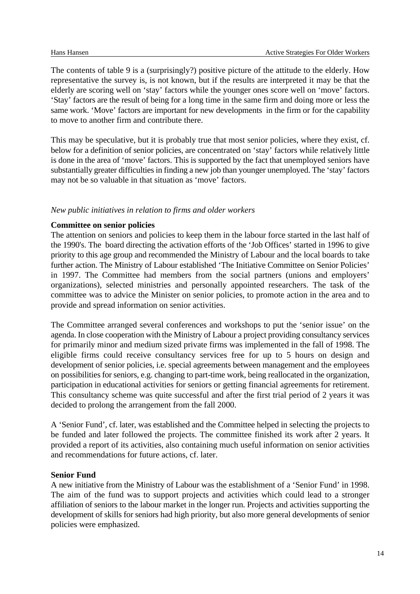The contents of table 9 is a (surprisingly?) positive picture of the attitude to the elderly. How representative the survey is, is not known, but if the results are interpreted it may be that the elderly are scoring well on 'stay' factors while the younger ones score well on 'move' factors. 'Stay' factors are the result of being for a long time in the same firm and doing more or less the same work. 'Move' factors are important for new developments in the firm or for the capability to move to another firm and contribute there.

This may be speculative, but it is probably true that most senior policies, where they exist, cf. below for a definition of senior policies, are concentrated on 'stay' factors while relatively little is done in the area of 'move' factors. This is supported by the fact that unemployed seniors have substantially greater difficulties in finding a new job than younger unemployed. The 'stay' factors may not be so valuable in that situation as 'move' factors.

#### *New public initiatives in relation to firms and older workers*

#### **Committee on senior policies**

The attention on seniors and policies to keep them in the labour force started in the last half of the 1990's. The board directing the activation efforts of the 'Job Offices' started in 1996 to give priority to this age group and recommended the Ministry of Labour and the local boards to take further action. The Ministry of Labour established 'The Initiative Committee on Senior Policies' in 1997. The Committee had members from the social partners (unions and employers' organizations), selected ministries and personally appointed researchers. The task of the committee was to advice the Minister on senior policies, to promote action in the area and to provide and spread information on senior activities.

The Committee arranged several conferences and workshops to put the 'senior issue' on the agenda. In close cooperation with the Ministry of Labour a project providing consultancy services for primarily minor and medium sized private firms was implemented in the fall of 1998. The eligible firms could receive consultancy services free for up to 5 hours on design and development of senior policies, i.e. special agreements between management and the employees on possibilities for seniors, e.g. changing to part-time work, being reallocated in the organization, participation in educational activities for seniors or getting financial agreements for retirement. This consultancy scheme was quite successful and after the first trial period of 2 years it was decided to prolong the arrangement from the fall 2000.

A 'Senior Fund', cf. later, was established and the Committee helped in selecting the projects to be funded and later followed the projects. The committee finished its work after 2 years. It provided a report of its activities, also containing much useful information on senior activities and recommendations for future actions, cf. later.

#### **Senior Fund**

A new initiative from the Ministry of Labour was the establishment of a 'Senior Fund' in 1998. The aim of the fund was to support projects and activities which could lead to a stronger affiliation of seniors to the labour market in the longer run. Projects and activities supporting the development of skills for seniors had high priority, but also more general developments of senior policies were emphasized.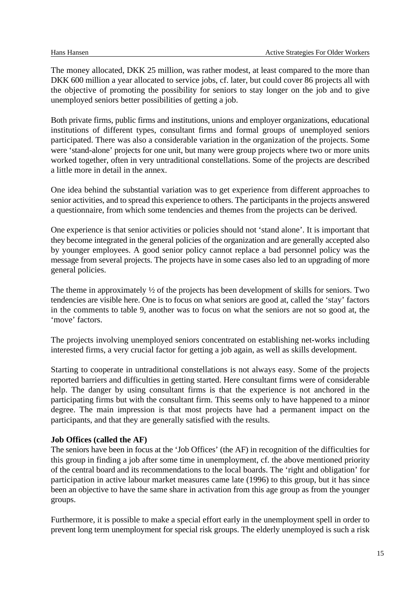The money allocated, DKK 25 million, was rather modest, at least compared to the more than DKK 600 million a year allocated to service jobs, cf. later, but could cover 86 projects all with the objective of promoting the possibility for seniors to stay longer on the job and to give unemployed seniors better possibilities of getting a job.

Both private firms, public firms and institutions, unions and employer organizations, educational institutions of different types, consultant firms and formal groups of unemployed seniors participated. There was also a considerable variation in the organization of the projects. Some were 'stand-alone' projects for one unit, but many were group projects where two or more units worked together, often in very untraditional constellations. Some of the projects are described a little more in detail in the annex.

One idea behind the substantial variation was to get experience from different approaches to senior activities, and to spread this experience to others. The participants in the projects answered a questionnaire, from which some tendencies and themes from the projects can be derived.

One experience is that senior activities or policies should not 'stand alone'. It is important that they become integrated in the general policies of the organization and are generally accepted also by younger employees. A good senior policy cannot replace a bad personnel policy was the message from several projects. The projects have in some cases also led to an upgrading of more general policies.

The theme in approximately <sup>1/2</sup> of the projects has been development of skills for seniors. Two tendencies are visible here. One is to focus on what seniors are good at, called the 'stay' factors in the comments to table 9, another was to focus on what the seniors are not so good at, the 'move' factors.

The projects involving unemployed seniors concentrated on establishing net-works including interested firms, a very crucial factor for getting a job again, as well as skills development.

Starting to cooperate in untraditional constellations is not always easy. Some of the projects reported barriers and difficulties in getting started. Here consultant firms were of considerable help. The danger by using consultant firms is that the experience is not anchored in the participating firms but with the consultant firm. This seems only to have happened to a minor degree. The main impression is that most projects have had a permanent impact on the participants, and that they are generally satisfied with the results.

#### **Job Offices (called the AF)**

The seniors have been in focus at the 'Job Offices' (the AF) in recognition of the difficulties for this group in finding a job after some time in unemployment, cf. the above mentioned priority of the central board and its recommendations to the local boards. The 'right and obligation' for participation in active labour market measures came late (1996) to this group, but it has since been an objective to have the same share in activation from this age group as from the younger groups.

Furthermore, it is possible to make a special effort early in the unemployment spell in order to prevent long term unemployment for special risk groups. The elderly unemployed is such a risk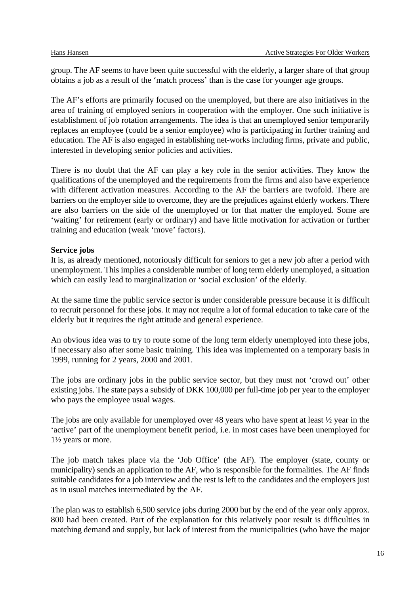group. The AF seems to have been quite successful with the elderly, a larger share of that group obtains a job as a result of the 'match process' than is the case for younger age groups.

The AF's efforts are primarily focused on the unemployed, but there are also initiatives in the area of training of employed seniors in cooperation with the employer. One such initiative is establishment of job rotation arrangements. The idea is that an unemployed senior temporarily replaces an employee (could be a senior employee) who is participating in further training and education. The AF is also engaged in establishing net-works including firms, private and public, interested in developing senior policies and activities.

There is no doubt that the AF can play a key role in the senior activities. They know the qualifications of the unemployed and the requirements from the firms and also have experience with different activation measures. According to the AF the barriers are twofold. There are barriers on the employer side to overcome, they are the prejudices against elderly workers. There are also barriers on the side of the unemployed or for that matter the employed. Some are 'waiting' for retirement (early or ordinary) and have little motivation for activation or further training and education (weak 'move' factors).

#### **Service jobs**

It is, as already mentioned, notoriously difficult for seniors to get a new job after a period with unemployment. This implies a considerable number of long term elderly unemployed, a situation which can easily lead to marginalization or 'social exclusion' of the elderly.

At the same time the public service sector is under considerable pressure because it is difficult to recruit personnel for these jobs. It may not require a lot of formal education to take care of the elderly but it requires the right attitude and general experience.

An obvious idea was to try to route some of the long term elderly unemployed into these jobs, if necessary also after some basic training. This idea was implemented on a temporary basis in 1999, running for 2 years, 2000 and 2001.

The jobs are ordinary jobs in the public service sector, but they must not 'crowd out' other existing jobs. The state pays a subsidy of DKK 100,000 per full-time job per year to the employer who pays the employee usual wages.

The jobs are only available for unemployed over 48 years who have spent at least  $\frac{1}{2}$  year in the 'active' part of the unemployment benefit period, i.e. in most cases have been unemployed for 1½ years or more.

The job match takes place via the 'Job Office' (the AF). The employer (state, county or municipality) sends an application to the AF, who is responsible for the formalities. The AF finds suitable candidates for a job interview and the rest is left to the candidates and the employers just as in usual matches intermediated by the AF.

The plan was to establish 6,500 service jobs during 2000 but by the end of the year only approx. 800 had been created. Part of the explanation for this relatively poor result is difficulties in matching demand and supply, but lack of interest from the municipalities (who have the major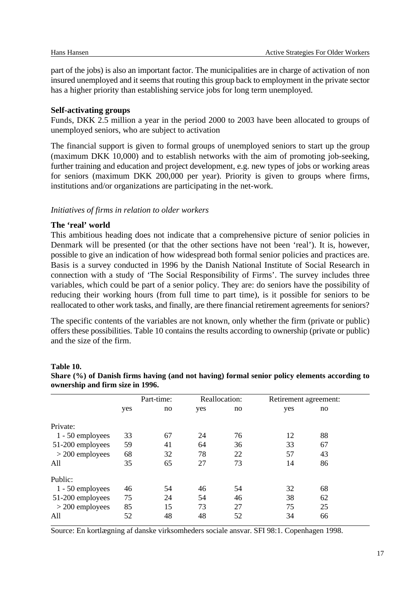part of the jobs) is also an important factor. The municipalities are in charge of activation of non insured unemployed and it seems that routing this group back to employment in the private sector has a higher priority than establishing service jobs for long term unemployed.

#### **Self-activating groups**

Funds, DKK 2.5 million a year in the period 2000 to 2003 have been allocated to groups of unemployed seniors, who are subject to activation

The financial support is given to formal groups of unemployed seniors to start up the group (maximum DKK 10,000) and to establish networks with the aim of promoting job-seeking, further training and education and project development, e.g. new types of jobs or working areas for seniors (maximum DKK 200,000 per year). Priority is given to groups where firms, institutions and/or organizations are participating in the net-work.

#### *Initiatives of firms in relation to older workers*

#### **The 'real' world**

This ambitious heading does not indicate that a comprehensive picture of senior policies in Denmark will be presented (or that the other sections have not been 'real'). It is, however, possible to give an indication of how widespread both formal senior policies and practices are. Basis is a survey conducted in 1996 by the Danish National Institute of Social Research in connection with a study of 'The Social Responsibility of Firms'. The survey includes three variables, which could be part of a senior policy. They are: do seniors have the possibility of reducing their working hours (from full time to part time), is it possible for seniors to be reallocated to other work tasks, and finally, are there financial retirement agreements for seniors?

The specific contents of the variables are not known, only whether the firm (private or public) offers these possibilities. Table 10 contains the results according to ownership (private or public) and the size of the firm.

#### **Table 10.**

| Share (%) of Danish firms having (and not having) formal senior policy elements according to |  |  |
|----------------------------------------------------------------------------------------------|--|--|
| ownership and firm size in 1996.                                                             |  |  |

|                   |     | Part-time: |     | Reallocation: | Retirement agreement: |    |  |
|-------------------|-----|------------|-----|---------------|-----------------------|----|--|
|                   | yes | no         | yes | no            | yes                   | no |  |
| Private:          |     |            |     |               |                       |    |  |
| 1 - 50 employees  | 33  | 67         | 24  | 76            | 12                    | 88 |  |
| 51-200 employees  | 59  | 41         | 64  | 36            | 33                    | 67 |  |
| $>$ 200 employees | 68  | 32         | 78  | 22            | 57                    | 43 |  |
| All               | 35  | 65         | 27  | 73            | 14                    | 86 |  |
| Public:           |     |            |     |               |                       |    |  |
| 1 - 50 employees  | 46  | 54         | 46  | 54            | 32                    | 68 |  |
| 51-200 employees  | 75  | 24         | 54  | 46            | 38                    | 62 |  |
| $>$ 200 employees | 85  | 15         | 73  | 27            | 75                    | 25 |  |
| All               | 52  | 48         | 48  | 52            | 34                    | 66 |  |

Source: En kortlægning af danske virksomheders sociale ansvar. SFI 98:1. Copenhagen 1998.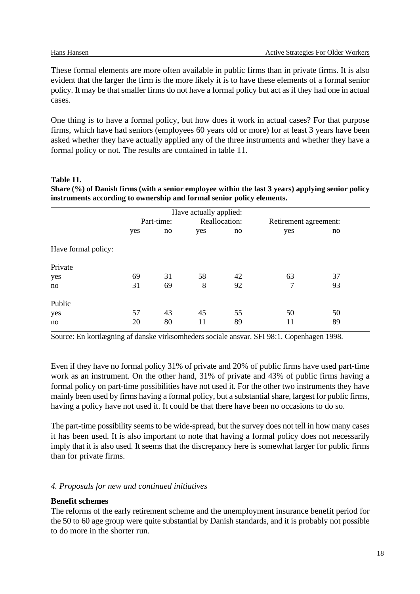These formal elements are more often available in public firms than in private firms. It is also evident that the larger the firm is the more likely it is to have these elements of a formal senior policy. It may be that smaller firms do not have a formal policy but act as if they had one in actual cases.

One thing is to have a formal policy, but how does it work in actual cases? For that purpose firms, which have had seniors (employees 60 years old or more) for at least 3 years have been asked whether they have actually applied any of the three instruments and whether they have a formal policy or not. The results are contained in table 11.

#### **Table 11. Share (%) of Danish firms (with a senior employee within the last 3 years) applying senior policy instruments according to ownership and formal senior policy elements.**

|                     |     |            | Have actually applied: |    |                       |    |
|---------------------|-----|------------|------------------------|----|-----------------------|----|
|                     |     | Part-time: | Reallocation:          |    | Retirement agreement: |    |
|                     | yes | no         | yes                    | no | yes                   | no |
| Have formal policy: |     |            |                        |    |                       |    |
| Private             |     |            |                        |    |                       |    |
| yes                 | 69  | 31         | 58                     | 42 | 63                    | 37 |
| no                  | 31  | 69         | 8                      | 92 | 7                     | 93 |
| Public              |     |            |                        |    |                       |    |
| yes                 | 57  | 43         | 45                     | 55 | 50                    | 50 |
| no                  | 20  | 80         | 11                     | 89 | 11                    | 89 |

Source: En kortlægning af danske virksomheders sociale ansvar. SFI 98:1. Copenhagen 1998.

Even if they have no formal policy 31% of private and 20% of public firms have used part-time work as an instrument. On the other hand, 31% of private and 43% of public firms having a formal policy on part-time possibilities have not used it. For the other two instruments they have mainly been used by firms having a formal policy, but a substantial share, largest for public firms, having a policy have not used it. It could be that there have been no occasions to do so.

The part-time possibility seems to be wide-spread, but the survey does not tell in how many cases it has been used. It is also important to note that having a formal policy does not necessarily imply that it is also used. It seems that the discrepancy here is somewhat larger for public firms than for private firms.

#### *4. Proposals for new and continued initiatives*

#### **Benefit schemes**

The reforms of the early retirement scheme and the unemployment insurance benefit period for the 50 to 60 age group were quite substantial by Danish standards, and it is probably not possible to do more in the shorter run.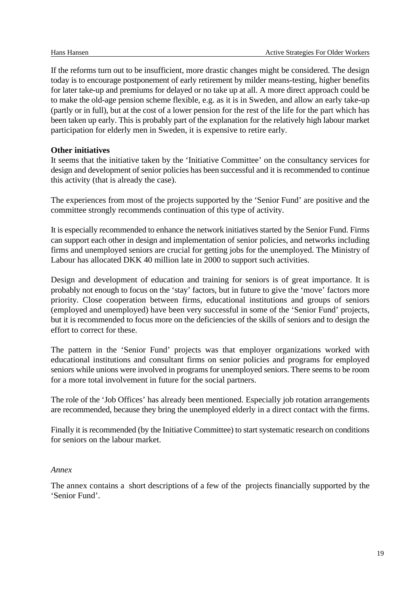If the reforms turn out to be insufficient, more drastic changes might be considered. The design today is to encourage postponement of early retirement by milder means-testing, higher benefits for later take-up and premiums for delayed or no take up at all. A more direct approach could be to make the old-age pension scheme flexible, e.g. as it is in Sweden, and allow an early take-up (partly or in full), but at the cost of a lower pension for the rest of the life for the part which has been taken up early. This is probably part of the explanation for the relatively high labour market participation for elderly men in Sweden, it is expensive to retire early.

#### **Other initiatives**

It seems that the initiative taken by the 'Initiative Committee' on the consultancy services for design and development of senior policies has been successful and it is recommended to continue this activity (that is already the case).

The experiences from most of the projects supported by the 'Senior Fund' are positive and the committee strongly recommends continuation of this type of activity.

It is especially recommended to enhance the network initiatives started by the Senior Fund. Firms can support each other in design and implementation of senior policies, and networks including firms and unemployed seniors are crucial for getting jobs for the unemployed. The Ministry of Labour has allocated DKK 40 million late in 2000 to support such activities.

Design and development of education and training for seniors is of great importance. It is probably not enough to focus on the 'stay' factors, but in future to give the 'move' factors more priority. Close cooperation between firms, educational institutions and groups of seniors (employed and unemployed) have been very successful in some of the 'Senior Fund' projects, but it is recommended to focus more on the deficiencies of the skills of seniors and to design the effort to correct for these.

The pattern in the 'Senior Fund' projects was that employer organizations worked with educational institutions and consultant firms on senior policies and programs for employed seniors while unions were involved in programs for unemployed seniors. There seems to be room for a more total involvement in future for the social partners.

The role of the 'Job Offices' has already been mentioned. Especially job rotation arrangements are recommended, because they bring the unemployed elderly in a direct contact with the firms.

Finally it is recommended (by the Initiative Committee) to start systematic research on conditions for seniors on the labour market.

#### *Annex*

The annex contains a short descriptions of a few of the projects financially supported by the 'Senior Fund'.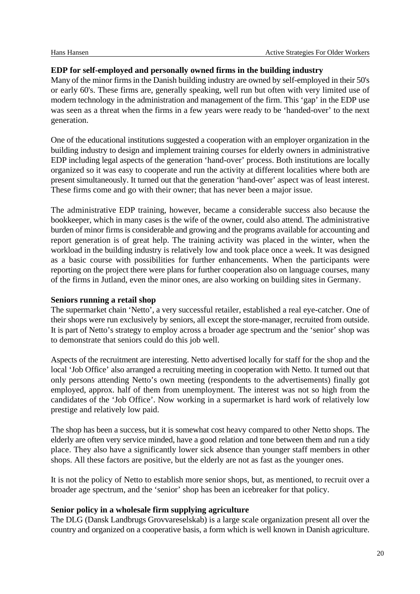#### **EDP for self-employed and personally owned firms in the building industry**

Many of the minor firms in the Danish building industry are owned by self-employed in their 50's or early 60's. These firms are, generally speaking, well run but often with very limited use of modern technology in the administration and management of the firm. This 'gap' in the EDP use was seen as a threat when the firms in a few years were ready to be 'handed-over' to the next generation.

One of the educational institutions suggested a cooperation with an employer organization in the building industry to design and implement training courses for elderly owners in administrative EDP including legal aspects of the generation 'hand-over' process. Both institutions are locally organized so it was easy to cooperate and run the activity at different localities where both are present simultaneously. It turned out that the generation 'hand-over' aspect was of least interest. These firms come and go with their owner; that has never been a major issue.

The administrative EDP training, however, became a considerable success also because the bookkeeper, which in many cases is the wife of the owner, could also attend. The administrative burden of minor firms is considerable and growing and the programs available for accounting and report generation is of great help. The training activity was placed in the winter, when the workload in the building industry is relatively low and took place once a week. It was designed as a basic course with possibilities for further enhancements. When the participants were reporting on the project there were plans for further cooperation also on language courses, many of the firms in Jutland, even the minor ones, are also working on building sites in Germany.

#### **Seniors running a retail shop**

The supermarket chain 'Netto', a very successful retailer, established a real eye-catcher. One of their shops were run exclusively by seniors, all except the store-manager, recruited from outside. It is part of Netto's strategy to employ across a broader age spectrum and the 'senior' shop was to demonstrate that seniors could do this job well.

Aspects of the recruitment are interesting. Netto advertised locally for staff for the shop and the local 'Job Office' also arranged a recruiting meeting in cooperation with Netto. It turned out that only persons attending Netto's own meeting (respondents to the advertisements) finally got employed, approx. half of them from unemployment. The interest was not so high from the candidates of the 'Job Office'. Now working in a supermarket is hard work of relatively low prestige and relatively low paid.

The shop has been a success, but it is somewhat cost heavy compared to other Netto shops. The elderly are often very service minded, have a good relation and tone between them and run a tidy place. They also have a significantly lower sick absence than younger staff members in other shops. All these factors are positive, but the elderly are not as fast as the younger ones.

It is not the policy of Netto to establish more senior shops, but, as mentioned, to recruit over a broader age spectrum, and the 'senior' shop has been an icebreaker for that policy.

#### **Senior policy in a wholesale firm supplying agriculture**

The DLG (Dansk Landbrugs Grovvareselskab) is a large scale organization present all over the country and organized on a cooperative basis, a form which is well known in Danish agriculture.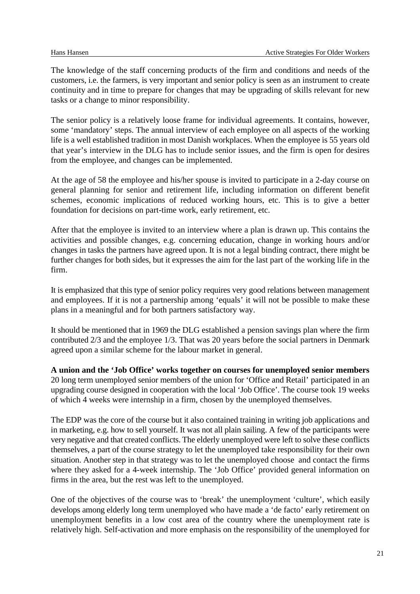The knowledge of the staff concerning products of the firm and conditions and needs of the customers, i.e. the farmers, is very important and senior policy is seen as an instrument to create continuity and in time to prepare for changes that may be upgrading of skills relevant for new tasks or a change to minor responsibility.

The senior policy is a relatively loose frame for individual agreements. It contains, however, some 'mandatory' steps. The annual interview of each employee on all aspects of the working life is a well established tradition in most Danish workplaces. When the employee is 55 years old that year's interview in the DLG has to include senior issues, and the firm is open for desires from the employee, and changes can be implemented.

At the age of 58 the employee and his/her spouse is invited to participate in a 2-day course on general planning for senior and retirement life, including information on different benefit schemes, economic implications of reduced working hours, etc. This is to give a better foundation for decisions on part-time work, early retirement, etc.

After that the employee is invited to an interview where a plan is drawn up. This contains the activities and possible changes, e.g. concerning education, change in working hours and/or changes in tasks the partners have agreed upon. It is not a legal binding contract, there might be further changes for both sides, but it expresses the aim for the last part of the working life in the firm.

It is emphasized that this type of senior policy requires very good relations between management and employees. If it is not a partnership among 'equals' it will not be possible to make these plans in a meaningful and for both partners satisfactory way.

It should be mentioned that in 1969 the DLG established a pension savings plan where the firm contributed 2/3 and the employee 1/3. That was 20 years before the social partners in Denmark agreed upon a similar scheme for the labour market in general.

**A union and the 'Job Office' works together on courses for unemployed senior members** 20 long term unemployed senior members of the union for 'Office and Retail' participated in an upgrading course designed in cooperation with the local 'Job Office'. The course took 19 weeks of which 4 weeks were internship in a firm, chosen by the unemployed themselves.

The EDP was the core of the course but it also contained training in writing job applications and in marketing, e.g. how to sell yourself. It was not all plain sailing. A few of the participants were very negative and that created conflicts. The elderly unemployed were left to solve these conflicts themselves, a part of the course strategy to let the unemployed take responsibility for their own situation. Another step in that strategy was to let the unemployed choose and contact the firms where they asked for a 4-week internship. The 'Job Office' provided general information on firms in the area, but the rest was left to the unemployed.

One of the objectives of the course was to 'break' the unemployment 'culture', which easily develops among elderly long term unemployed who have made a 'de facto' early retirement on unemployment benefits in a low cost area of the country where the unemployment rate is relatively high. Self-activation and more emphasis on the responsibility of the unemployed for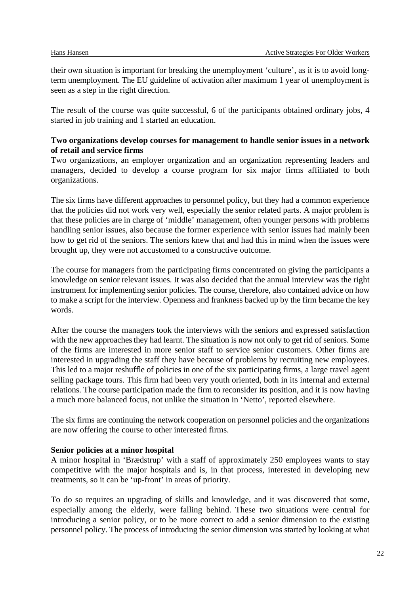their own situation is important for breaking the unemployment 'culture', as it is to avoid longterm unemployment. The EU guideline of activation after maximum 1 year of unemployment is seen as a step in the right direction.

The result of the course was quite successful, 6 of the participants obtained ordinary jobs, 4 started in job training and 1 started an education.

#### **Two organizations develop courses for management to handle senior issues in a network of retail and service firms**

Two organizations, an employer organization and an organization representing leaders and managers, decided to develop a course program for six major firms affiliated to both organizations.

The six firms have different approaches to personnel policy, but they had a common experience that the policies did not work very well, especially the senior related parts. A major problem is that these policies are in charge of 'middle' management, often younger persons with problems handling senior issues, also because the former experience with senior issues had mainly been how to get rid of the seniors. The seniors knew that and had this in mind when the issues were brought up, they were not accustomed to a constructive outcome.

The course for managers from the participating firms concentrated on giving the participants a knowledge on senior relevant issues. It was also decided that the annual interview was the right instrument for implementing senior policies. The course, therefore, also contained advice on how to make a script for the interview. Openness and frankness backed up by the firm became the key words.

After the course the managers took the interviews with the seniors and expressed satisfaction with the new approaches they had learnt. The situation is now not only to get rid of seniors. Some of the firms are interested in more senior staff to service senior customers. Other firms are interested in upgrading the staff they have because of problems by recruiting new employees. This led to a major reshuffle of policies in one of the six participating firms, a large travel agent selling package tours. This firm had been very youth oriented, both in its internal and external relations. The course participation made the firm to reconsider its position, and it is now having a much more balanced focus, not unlike the situation in 'Netto', reported elsewhere.

The six firms are continuing the network cooperation on personnel policies and the organizations are now offering the course to other interested firms.

#### **Senior policies at a minor hospital**

A minor hospital in 'Brædstrup' with a staff of approximately 250 employees wants to stay competitive with the major hospitals and is, in that process, interested in developing new treatments, so it can be 'up-front' in areas of priority.

To do so requires an upgrading of skills and knowledge, and it was discovered that some, especially among the elderly, were falling behind. These two situations were central for introducing a senior policy, or to be more correct to add a senior dimension to the existing personnel policy. The process of introducing the senior dimension was started by looking at what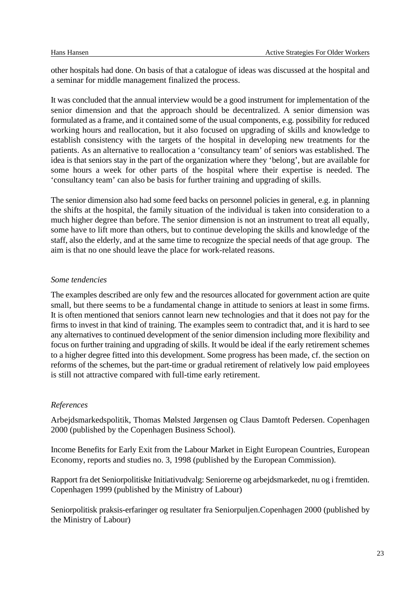other hospitals had done. On basis of that a catalogue of ideas was discussed at the hospital and a seminar for middle management finalized the process.

It was concluded that the annual interview would be a good instrument for implementation of the senior dimension and that the approach should be decentralized. A senior dimension was formulated as a frame, and it contained some of the usual components, e.g. possibility for reduced working hours and reallocation, but it also focused on upgrading of skills and knowledge to establish consistency with the targets of the hospital in developing new treatments for the patients. As an alternative to reallocation a 'consultancy team' of seniors was established. The idea is that seniors stay in the part of the organization where they 'belong', but are available for some hours a week for other parts of the hospital where their expertise is needed. The 'consultancy team' can also be basis for further training and upgrading of skills.

The senior dimension also had some feed backs on personnel policies in general, e.g. in planning the shifts at the hospital, the family situation of the individual is taken into consideration to a much higher degree than before. The senior dimension is not an instrument to treat all equally, some have to lift more than others, but to continue developing the skills and knowledge of the staff, also the elderly, and at the same time to recognize the special needs of that age group. The aim is that no one should leave the place for work-related reasons.

#### *Some tendencies*

The examples described are only few and the resources allocated for government action are quite small, but there seems to be a fundamental change in attitude to seniors at least in some firms. It is often mentioned that seniors cannot learn new technologies and that it does not pay for the firms to invest in that kind of training. The examples seem to contradict that, and it is hard to see any alternatives to continued development of the senior dimension including more flexibility and focus on further training and upgrading of skills. It would be ideal if the early retirement schemes to a higher degree fitted into this development. Some progress has been made, cf. the section on reforms of the schemes, but the part-time or gradual retirement of relatively low paid employees is still not attractive compared with full-time early retirement.

#### *References*

Arbejdsmarkedspolitik, Thomas Mølsted Jørgensen og Claus Damtoft Pedersen. Copenhagen 2000 (published by the Copenhagen Business School).

Income Benefits for Early Exit from the Labour Market in Eight European Countries, European Economy, reports and studies no. 3, 1998 (published by the European Commission).

Rapport fra det Seniorpolitiske Initiativudvalg: Seniorerne og arbejdsmarkedet, nu og i fremtiden. Copenhagen 1999 (published by the Ministry of Labour)

Seniorpolitisk praksis-erfaringer og resultater fra Seniorpuljen.Copenhagen 2000 (published by the Ministry of Labour)